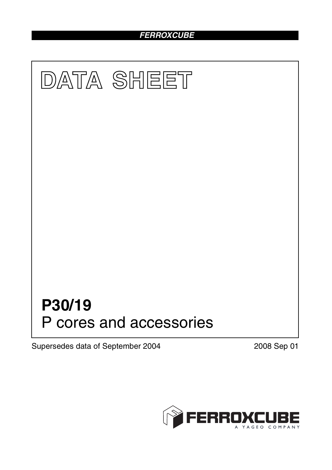# *FERROXCUBE*



Supersedes data of September 2004 2008 Sep 01

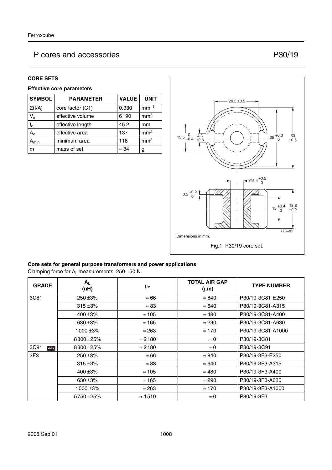#### **CORE SETS**

### **Effective core parameters**

| <b>SYMBOL</b>           | <b>PARAMETER</b> | <b>VALUE</b> | <b>UNIT</b>     |
|-------------------------|------------------|--------------|-----------------|
| $\Sigma(I/A)$           | core factor (C1) | 0.330        | $mm-1$          |
| $V_{e}$                 | effective volume | 6190         | mm <sup>3</sup> |
| $\mathsf{I}_\mathsf{e}$ | effective length | 45.2         | mm              |
| $A_{e}$                 | effective area   | 137          | mm <sup>2</sup> |
| $\mathsf{m}$ in         | minimum area     | 116          | mm <sup>2</sup> |
| m                       | mass of set      | $\approx$ 34 | g               |



### **Core sets for general purpose transformers and power applications**

Clamping force for  $A_L$  measurements, 250 ±50 N.

| <b>GRADE</b> | Α <sub>L</sub><br>(nH) | $\mu_{e}$      | <b>TOTAL AIR GAP</b><br>$(\mu m)$ | <b>TYPE NUMBER</b> |
|--------------|------------------------|----------------|-----------------------------------|--------------------|
| 3C81         | $250 + 3%$             | $\approx 66$   | $\approx 840$                     | P30/19-3C81-E250   |
|              | $315 + 3%$             | $\approx 83$   | $\approx 640$                     | P30/19-3C81-A315   |
|              | 400 $\pm$ 3%           | $\approx 105$  | $\approx 480$                     | P30/19-3C81-A400   |
|              | 630 $\pm$ 3%           | $\approx$ 165  | $\approx 290$                     | P30/19-3C81-A630   |
|              | $1000 + 3%$            | $\approx 263$  | $\approx 170$                     | P30/19-3C81-A1000  |
|              | 8300 ± 25%             | $\approx$ 2180 | $\approx 0$                       | P30/19-3C81        |
| 3C91<br>des  | 8300 ± 25%             | $\approx$ 2180 | $\approx 0$                       | P30/19-3C91        |
| 3F3          | $250 + 3%$             | $\approx 66$   | $\approx 840$                     | P30/19-3F3-E250    |
|              | $315 + 3%$             | $\approx 83$   | $\approx 640$                     | P30/19-3F3-A315    |
|              | 400 $\pm$ 3%           | $\approx 105$  | $\approx 480$                     | P30/19-3F3-A400    |
|              | 630 $\pm$ 3%           | $\approx$ 165  | $\approx 290$                     | P30/19-3F3-A630    |
|              | $1000 \pm 3\%$         | $\approx$ 263  | $\approx 170$                     | P30/19-3F3-A1000   |
|              | 5750 ±25%              | $\approx$ 1510 | $\approx 0$                       | P30/19-3F3         |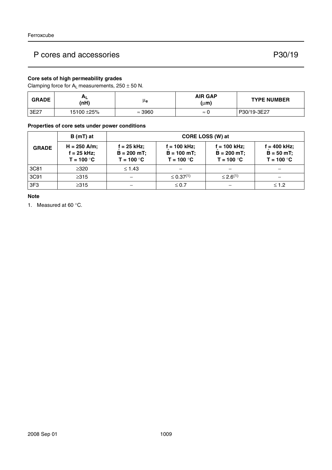## **Core sets of high permeability grades**

Clamping force for  $A_L$  measurements,  $250 \pm 50$  N.

| <b>GRADE</b> | мL<br>(nH) | μe             | <b>AIR GAP</b><br>(µm) | <b>TYPE NUMBER</b> |
|--------------|------------|----------------|------------------------|--------------------|
| 3E27         | 15100 ±25% | $\approx$ 3960 | $\approx$              | P30/19-3E27        |

#### **Properties of core sets under power conditions**

|                 | $B(mT)$ at                                    | <b>CORE LOSS (W) at</b>                      |                                                 |                                                  |                                                 |
|-----------------|-----------------------------------------------|----------------------------------------------|-------------------------------------------------|--------------------------------------------------|-------------------------------------------------|
| <b>GRADE</b>    | $H = 250$ A/m;<br>f = 25 kHz;<br>$T = 100 °C$ | f = 25 kHz;<br>$B = 200$ mT;<br>$T = 100 °C$ | $f = 100$ kHz;<br>$B = 100$ mT;<br>$T = 100 °C$ | $f = 100$ kHz;<br>$B = 200 mT$ ;<br>$T = 100 °C$ | $f = 400$ kHz;<br>$B = 50 mT$ ;<br>$T = 100 °C$ |
| 3C81            | $\geq 320$                                    | $\leq 1.43$                                  |                                                 |                                                  |                                                 |
| 3C91            | $\geq 315$                                    |                                              | $\leq$ 0.37 <sup>(1)</sup>                      | $\leq 2.6^{(1)}$                                 |                                                 |
| 3F <sub>3</sub> | $\geq$ 315                                    |                                              | $\leq 0.7$                                      |                                                  | $≤ 1.2$                                         |

### **Note**

1. Measured at 60 °C.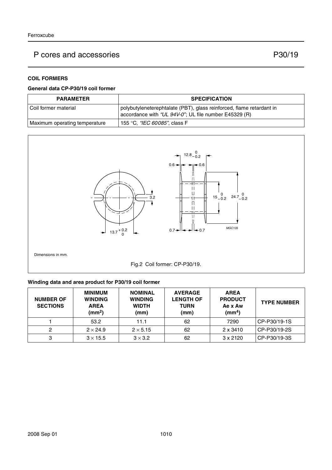## **COIL FORMERS**

#### **General data CP-P30/19 coil former**

| <b>PARAMETER</b>              | <b>SPECIFICATION</b>                                                                                                          |
|-------------------------------|-------------------------------------------------------------------------------------------------------------------------------|
| l Coil former material        | polybutyleneterephtalate (PBT), glass reinforced, flame retardant in<br>accordance with "UL 94V-0"; UL file number E45329 (R) |
| Maximum operating temperature | 155 °C, <i>"IEC 60085"</i> , class F                                                                                          |



Dimensions in mm.



### **Winding data and area product for P30/19 coil former**

| <b>NUMBER OF</b><br><b>SECTIONS</b> | <b>MINIMUM</b><br><b>WINDING</b><br><b>AREA</b><br>$\text{(mm}^2)$ | <b>NOMINAL</b><br><b>WINDING</b><br><b>WIDTH</b><br>(mm) | <b>AVERAGE</b><br><b>LENGTH OF</b><br><b>TURN</b><br>(mm) | <b>AREA</b><br><b>PRODUCT</b><br>Ae x Aw<br>(mm <sup>4</sup> ) | <b>TYPE NUMBER</b> |
|-------------------------------------|--------------------------------------------------------------------|----------------------------------------------------------|-----------------------------------------------------------|----------------------------------------------------------------|--------------------|
|                                     | 53.2                                                               | 11.1                                                     | 62                                                        | 7290                                                           | CP-P30/19-1S       |
| 2                                   | $2 \times 24.9$                                                    | $2 \times 5.15$                                          | 62                                                        | 2 x 3410                                                       | CP-P30/19-2S       |
| 3                                   | $3 \times 15.5$                                                    | $3 \times 3.2$                                           | 62                                                        | $3 \times 2120$                                                | CP-P30/19-3S       |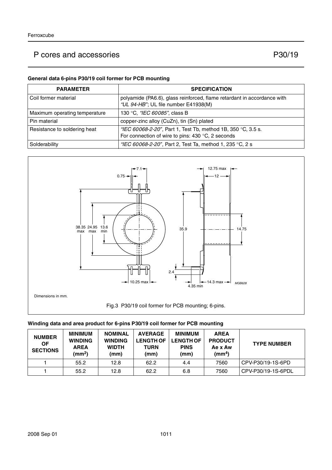#### **General data 6-pins P30/19 coil former for PCB mounting**

| <b>PARAMETER</b>              | <b>SPECIFICATION</b>                                                                                              |
|-------------------------------|-------------------------------------------------------------------------------------------------------------------|
| Coil former material          | polyamide (PA6.6), glass reinforced, flame retardant in accordance with<br>"UL 94-HB"; UL file number E41938(M)   |
| Maximum operating temperature | 130 °C, "IEC 60085", class B                                                                                      |
| Pin material                  | copper-zinc alloy (CuZn), tin (Sn) plated                                                                         |
| Resistance to soldering heat  | "IEC 60068-2-20", Part 1, Test Tb, method 1B, 350 °C, 3.5 s.<br>For connection of wire to pins: 430 °C, 2 seconds |
| Solderability                 | "IEC 60068-2-20", Part 2, Test Ta, method 1, 235 °C, 2 s                                                          |



### **Winding data and area product for 6-pins P30/19 coil former for PCB mounting**

| <b>NUMBER</b><br>ΟF<br><b>SECTIONS</b> | <b>MINIMUM</b><br><b>WINDING</b><br><b>AREA</b><br>(mm <sup>2</sup> ) | <b>NOMINAL</b><br><b>WINDING</b><br><b>WIDTH</b><br>(mm) | <b>AVERAGE</b><br><b>LENGTH OF</b><br><b>TURN</b><br>(mm) | <b>MINIMUM</b><br><b>LENGTH OF</b><br><b>PINS</b><br>(mm) | <b>AREA</b><br><b>PRODUCT</b><br>Ae x Aw<br>(mm $^4$ ) | <b>TYPE NUMBER</b> |
|----------------------------------------|-----------------------------------------------------------------------|----------------------------------------------------------|-----------------------------------------------------------|-----------------------------------------------------------|--------------------------------------------------------|--------------------|
|                                        | 55.2                                                                  | 12.8                                                     | 62.2                                                      | 4.4                                                       | 7560                                                   | CPV-P30/19-1S-6PD  |
|                                        | 55.2                                                                  | 12.8                                                     | 62.2                                                      | 6.8                                                       | 7560                                                   | CPV-P30/19-1S-6PDL |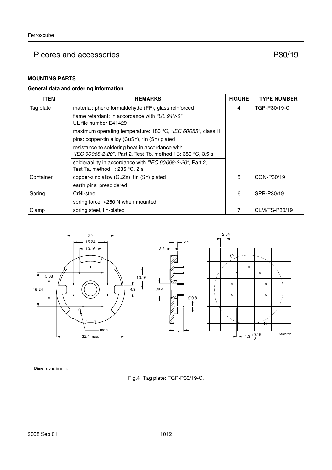### **MOUNTING PARTS**

#### **General data and ordering information**

| <b>ITEM</b>                                                                                                               | <b>REMARKS</b>                                              | <b>FIGURE</b> | <b>TYPE NUMBER</b> |
|---------------------------------------------------------------------------------------------------------------------------|-------------------------------------------------------------|---------------|--------------------|
| Tag plate                                                                                                                 | material: phenolformaldehyde (PF), glass reinforced         | 4             | TGP-P30/19-C       |
|                                                                                                                           | flame retardant: in accordance with "UL 94V-0";             |               |                    |
|                                                                                                                           | UL file number E41429                                       |               |                    |
|                                                                                                                           | maximum operating temperature: 180 °C, "IEC 60085", class H |               |                    |
|                                                                                                                           | pins: copper-tin alloy (CuSn), tin (Sn) plated              |               |                    |
|                                                                                                                           | resistance to soldering heat in accordance with             |               |                    |
| "IEC 60068-2-20", Part 2, Test Tb, method 1B: 350 °C, 3.5 s<br>solderability in accordance with "IEC 60068-2-20", Part 2, |                                                             |               |                    |
|                                                                                                                           |                                                             |               |                    |
|                                                                                                                           | Test Ta, method 1: 235 $\degree$ C, 2 s                     |               |                    |
| Container                                                                                                                 | copper-zinc alloy (CuZn), tin (Sn) plated                   | 5             | CON-P30/19         |
|                                                                                                                           | earth pins: presoldered                                     |               |                    |
| Spring                                                                                                                    | CrNi-steel                                                  |               | SPR-P30/19         |
|                                                                                                                           | spring force: $\approx$ 250 N when mounted                  |               |                    |
| Clamp                                                                                                                     | spring steel, tin-plated                                    | 7             | CLM/TS-P30/19      |

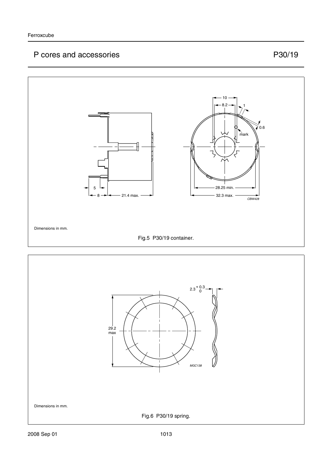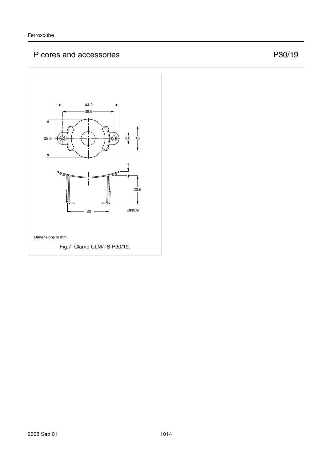